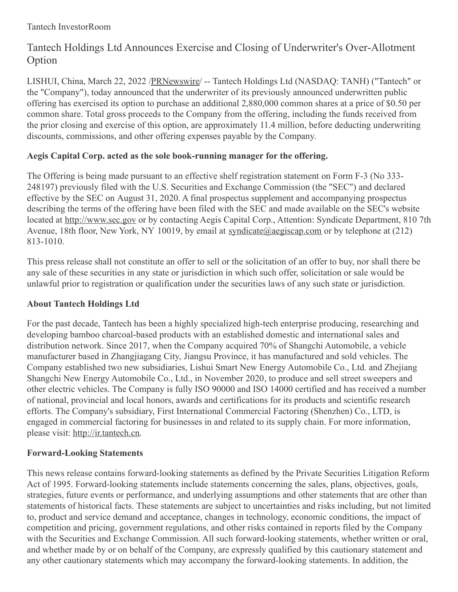## Tantech Holdings Ltd Announces Exercise and Closing of Underwriter's Over-Allotment Option

LISHUI, China, March 22, 2022 [/PRNewswire](http://www.prnewswire.com/)/ -- Tantech Holdings Ltd (NASDAQ: TANH) ("Tantech" or the "Company"), today announced that the underwriter of its previously announced underwritten public offering has exercised its option to purchase an additional 2,880,000 common shares at a price of \$0.50 per common share. Total gross proceeds to the Company from the offering, including the funds received from the prior closing and exercise of this option, are approximately 11.4 million, before deducting underwriting discounts, commissions, and other offering expenses payable by the Company.

## **Aegis Capital Corp. acted as the sole book-running manager for the offering.**

The Offering is being made pursuant to an effective shelf registration statement on Form F-3 (No 333- 248197) previously filed with the U.S. Securities and Exchange Commission (the "SEC") and declared effective by the SEC on August 31, 2020. A final prospectus supplement and accompanying prospectus describing the terms of the offering have been filed with the SEC and made available on the SEC's website located at [http://www.sec.gov](http://www.sec.gov/) or by contacting Aegis Capital Corp., Attention: Syndicate Department, 810 7th Avenue, 18th floor, New York, NY 10019, by email at [syndicate@aegiscap.com](mailto:syndicate@aegiscap.com) or by telephone at (212) 813-1010.

This press release shall not constitute an offer to sell or the solicitation of an offer to buy, nor shall there be any sale of these securities in any state or jurisdiction in which such offer, solicitation or sale would be unlawful prior to registration or qualification under the securities laws of any such state or jurisdiction.

## **About Tantech Holdings Ltd**

For the past decade, Tantech has been a highly specialized high-tech enterprise producing, researching and developing bamboo charcoal-based products with an established domestic and international sales and distribution network. Since 2017, when the Company acquired 70% of Shangchi Automobile, a vehicle manufacturer based in Zhangjiagang City, Jiangsu Province, it has manufactured and sold vehicles. The Company established two new subsidiaries, Lishui Smart New Energy Automobile Co., Ltd. and Zhejiang Shangchi New Energy Automobile Co., Ltd., in November 2020, to produce and sell street sweepers and other electric vehicles. The Company is fully ISO 90000 and ISO 14000 certified and has received a number of national, provincial and local honors, awards and certifications for its products and scientific research efforts. The Company's subsidiary, First International Commercial Factoring (Shenzhen) Co., LTD, is engaged in commercial factoring for businesses in and related to its supply chain. For more information, please visit: [http://ir.tantech.cn](http://ir.tantech.cn/).

## **Forward-Looking Statements**

This news release contains forward-looking statements as defined by the Private Securities Litigation Reform Act of 1995. Forward-looking statements include statements concerning the sales, plans, objectives, goals, strategies, future events or performance, and underlying assumptions and other statements that are other than statements of historical facts. These statements are subject to uncertainties and risks including, but not limited to, product and service demand and acceptance, changes in technology, economic conditions, the impact of competition and pricing, government regulations, and other risks contained in reports filed by the Company with the Securities and Exchange Commission. All such forward-looking statements, whether written or oral, and whether made by or on behalf of the Company, are expressly qualified by this cautionary statement and any other cautionary statements which may accompany the forward-looking statements. In addition, the